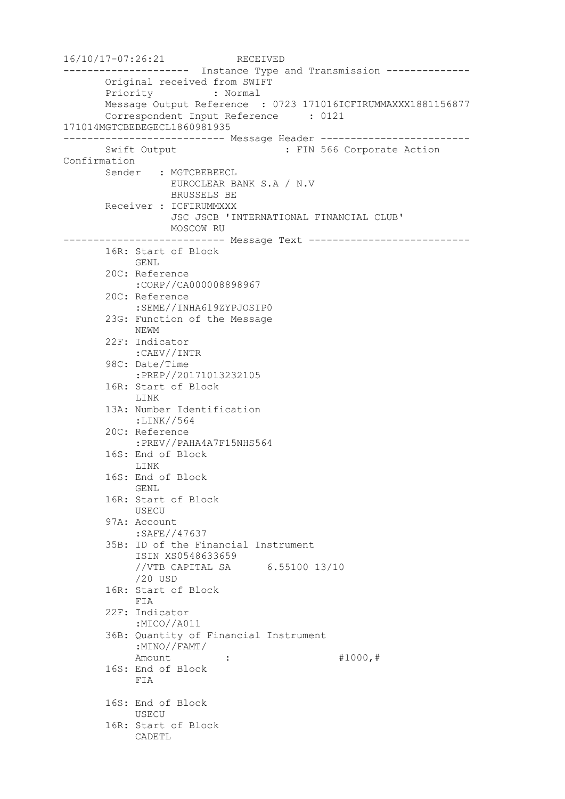```
16/10/17-07:26:21 RECEIVED
--------------------- Instance Type and Transmission --------------
       Original received from SWIFT
       Priority : Normal
       Message Output Reference : 0723 171016ICFIRUMMAXXX1881156877
       Correspondent Input Reference : 0121 
171014MGTCBEBEGECL1860981935
--------------------------- Message Header -------------------------
      Swift Output : FIN 566 Corporate Action
Confirmation
       Sender : MGTCBEBEECL
                 EUROCLEAR BANK S.A / N.V
                  BRUSSELS BE
       Receiver : ICFIRUMMXXX
                  JSC JSCB 'INTERNATIONAL FINANCIAL CLUB'
                 MOSCOW RU
--------------------------- Message Text ---------------------------
       16R: Start of Block
            GENL
        20C: Reference
            :CORP//CA000008898967
        20C: Reference
            :SEME//INHA619ZYPJOSIP0
        23G: Function of the Message
            NEWM
        22F: Indicator
            :CAEV//INTR
        98C: Date/Time
            :PREP//20171013232105
        16R: Start of Block
            LINK
        13A: Number Identification
            :LINK//564
        20C: Reference
            :PREV//PAHA4A7F15NHS564
        16S: End of Block
            LINK
        16S: End of Block
            GENL
        16R: Start of Block
            USECU
        97A: Account
            :SAFE//47637
        35B: ID of the Financial Instrument
            ISIN XS0548633659
            //VTB CAPITAL SA 6.55100 13/10
            /20 USD
        16R: Start of Block
            FIA
        22F: Indicator
            :MICO//A011
        36B: Quantity of Financial Instrument
            :MINO//FAMT/
           Amount : : #1000, #
        16S: End of Block
            FIA
        16S: End of Block
            USECU
        16R: Start of Block
            CADETL
```